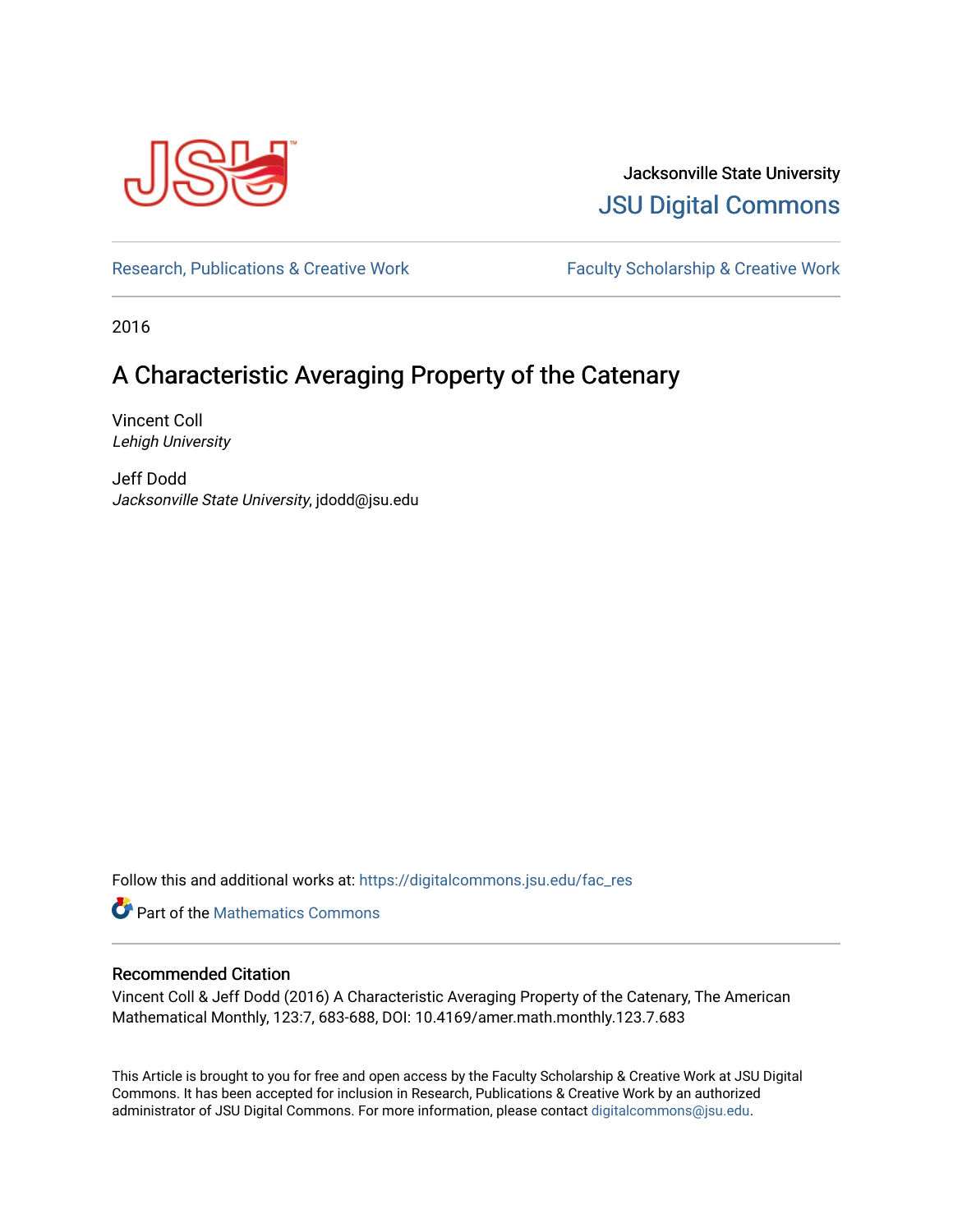

Jacksonville State University [JSU Digital Commons](https://digitalcommons.jsu.edu/) 

[Research, Publications & Creative Work](https://digitalcommons.jsu.edu/fac_res) Faculty Scholarship & Creative Work

2016

## A Characteristic Averaging Property of the Catenary

Vincent Coll Lehigh University

Jeff Dodd Jacksonville State University, jdodd@jsu.edu

Follow this and additional works at: [https://digitalcommons.jsu.edu/fac\\_res](https://digitalcommons.jsu.edu/fac_res?utm_source=digitalcommons.jsu.edu%2Ffac_res%2F109&utm_medium=PDF&utm_campaign=PDFCoverPages) 

**C** Part of the [Mathematics Commons](http://network.bepress.com/hgg/discipline/174?utm_source=digitalcommons.jsu.edu%2Ffac_res%2F109&utm_medium=PDF&utm_campaign=PDFCoverPages)

#### Recommended Citation

Vincent Coll & Jeff Dodd (2016) A Characteristic Averaging Property of the Catenary, The American Mathematical Monthly, 123:7, 683-688, DOI: 10.4169/amer.math.monthly.123.7.683

This Article is brought to you for free and open access by the Faculty Scholarship & Creative Work at JSU Digital Commons. It has been accepted for inclusion in Research, Publications & Creative Work by an authorized administrator of JSU Digital Commons. For more information, please contact [digitalcommons@jsu.edu.](mailto:digitalcommons@jsu.edu)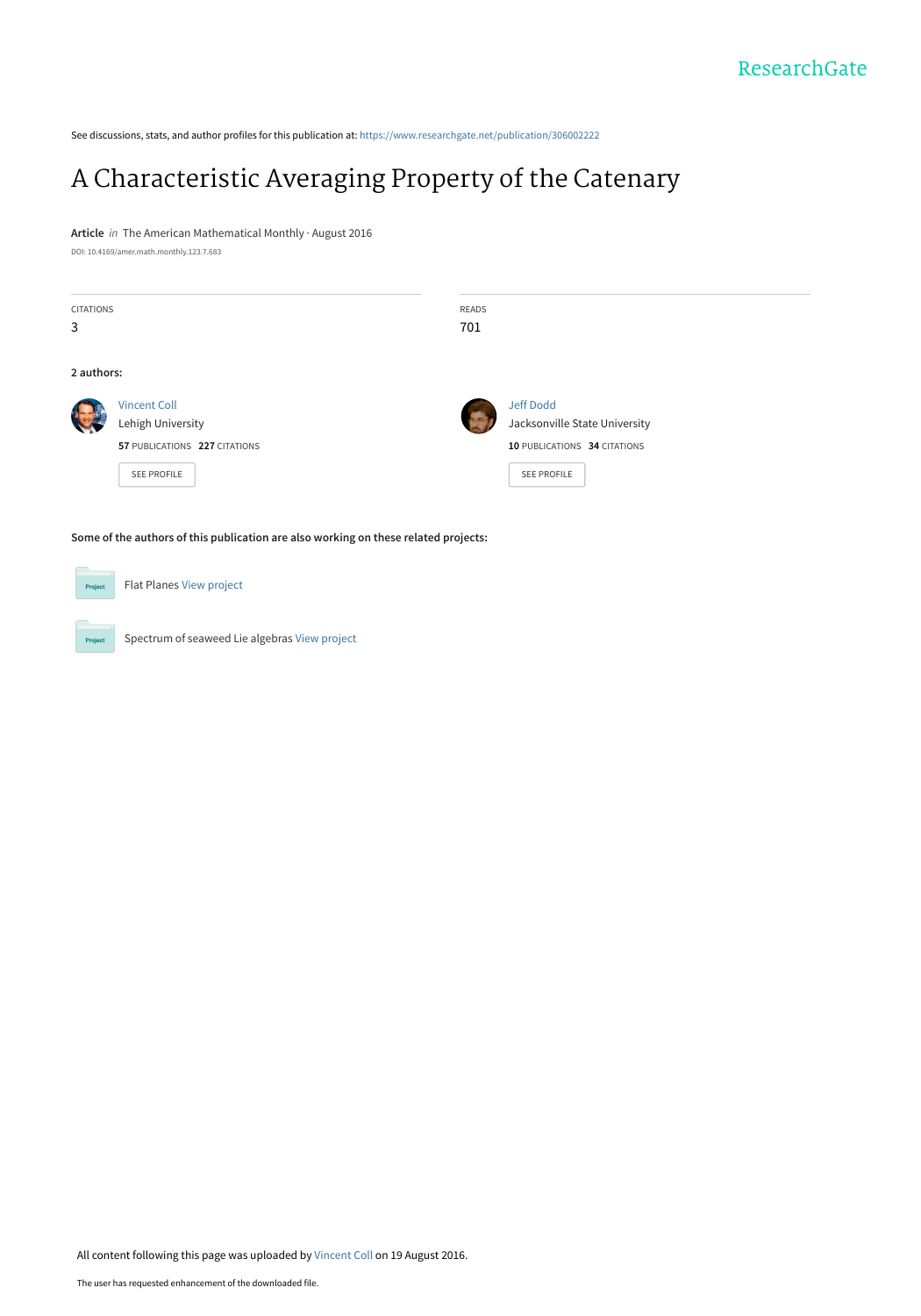See discussions, stats, and author profiles for this publication at: [https://www.researchgate.net/publication/306002222](https://www.researchgate.net/publication/306002222_A_Characteristic_Averaging_Property_of_the_Catenary?enrichId=rgreq-df87b43b57ecdac38c897d005b0af9c6-XXX&enrichSource=Y292ZXJQYWdlOzMwNjAwMjIyMjtBUzozOTY5MzIxNjI4MzQ0MzRAMTQ3MTY0NzQxMDQ3NA%3D%3D&el=1_x_2&_esc=publicationCoverPdf)

## [A Characteristic Averaging Property of the Catenary](https://www.researchgate.net/publication/306002222_A_Characteristic_Averaging_Property_of_the_Catenary?enrichId=rgreq-df87b43b57ecdac38c897d005b0af9c6-XXX&enrichSource=Y292ZXJQYWdlOzMwNjAwMjIyMjtBUzozOTY5MzIxNjI4MzQ0MzRAMTQ3MTY0NzQxMDQ3NA%3D%3D&el=1_x_3&_esc=publicationCoverPdf)

**Article** in The American Mathematical Monthly · August 2016

DOI: 10.4169/amer.math.monthly.123.7.683

| <b>CITATIONS</b> |                               | <b>READS</b> |                               |
|------------------|-------------------------------|--------------|-------------------------------|
| 3                |                               | 701          |                               |
|                  |                               |              |                               |
| 2 authors:       |                               |              |                               |
|                  | <b>Vincent Coll</b>           |              | <b>Jeff Dodd</b>              |
|                  | Lehigh University             |              | Jacksonville State University |
|                  | 57 PUBLICATIONS 227 CITATIONS |              | 10 PUBLICATIONS 34 CITATIONS  |
|                  | SEE PROFILE                   |              | SEE PROFILE                   |
|                  |                               |              |                               |
|                  |                               |              |                               |

**Some of the authors of this publication are also working on these related projects:**

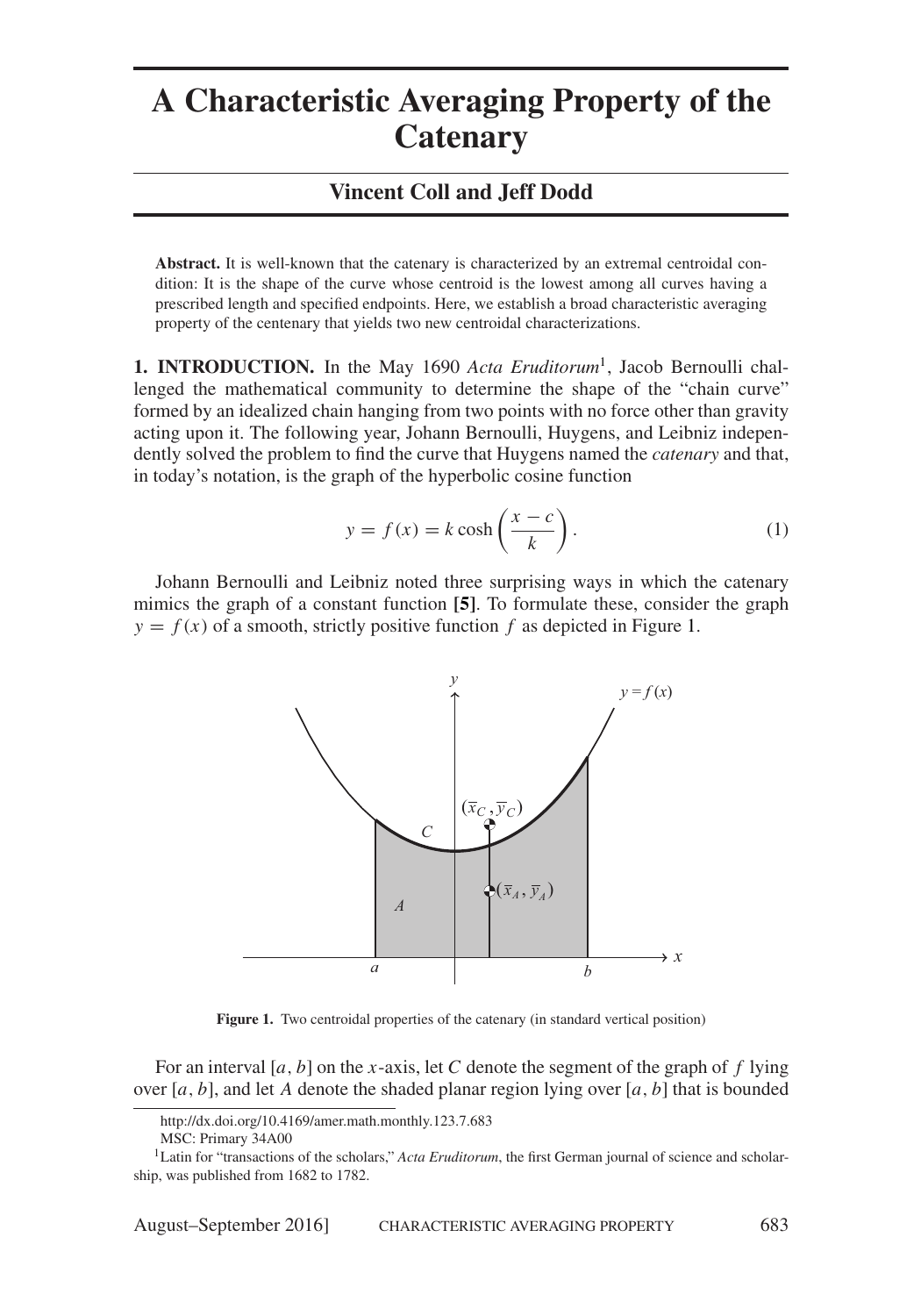# **A Characteristic Averaging Property of the Catenary**

### **Vincent Coll and Jeff Dodd**

**Abstract.** It is well-known that the catenary is characterized by an extremal centroidal condition: It is the shape of the curve whose centroid is the lowest among all curves having a prescribed length and specified endpoints. Here, we establish a broad characteristic averaging property of the centenary that yields two new centroidal characterizations.

**1. INTRODUCTION.** In the May 1690 *Acta Eruditorum*[1](#page-2-0), Jacob Bernoulli challenged the mathematical community to determine the shape of the "chain curve" formed by an idealized chain hanging from two points with no force other than gravity acting upon it. The following year, Johann Bernoulli, Huygens, and Leibniz independently solved the problem to find the curve that Huygens named the *catenary* and that, in today's notation, is the graph of the hyperbolic cosine function

<span id="page-2-2"></span>
$$
y = f(x) = k \cosh\left(\frac{x - c}{k}\right). \tag{1}
$$

Johann Bernoulli and Leibniz noted three surprising ways in which the catenary mimics the graph of a constant function **[\[5\]](#page-7-0)**. To formulate these, consider the graph  $y = f(x)$  of a smooth, strictly positive function f as depicted in Figure [1.](#page-2-1)



<span id="page-2-1"></span>**Figure 1.** Two centroidal properties of the catenary (in standard vertical position)

For an interval [*a*, *b*] on the *x*-axis, let *C* denote the segment of the graph of *f* lying over  $[a, b]$ , and let *A* denote the shaded planar region lying over  $[a, b]$  that is bounded

http://dx.doi.org/10.4169/amer.math.monthly.123.7.683

MSC: Primary 34A00

<span id="page-2-0"></span><sup>&</sup>lt;sup>1</sup>Latin for "transactions of the scholars," *Acta Eruditorum*, the first German journal of science and scholarship, was published from 1682 to 1782.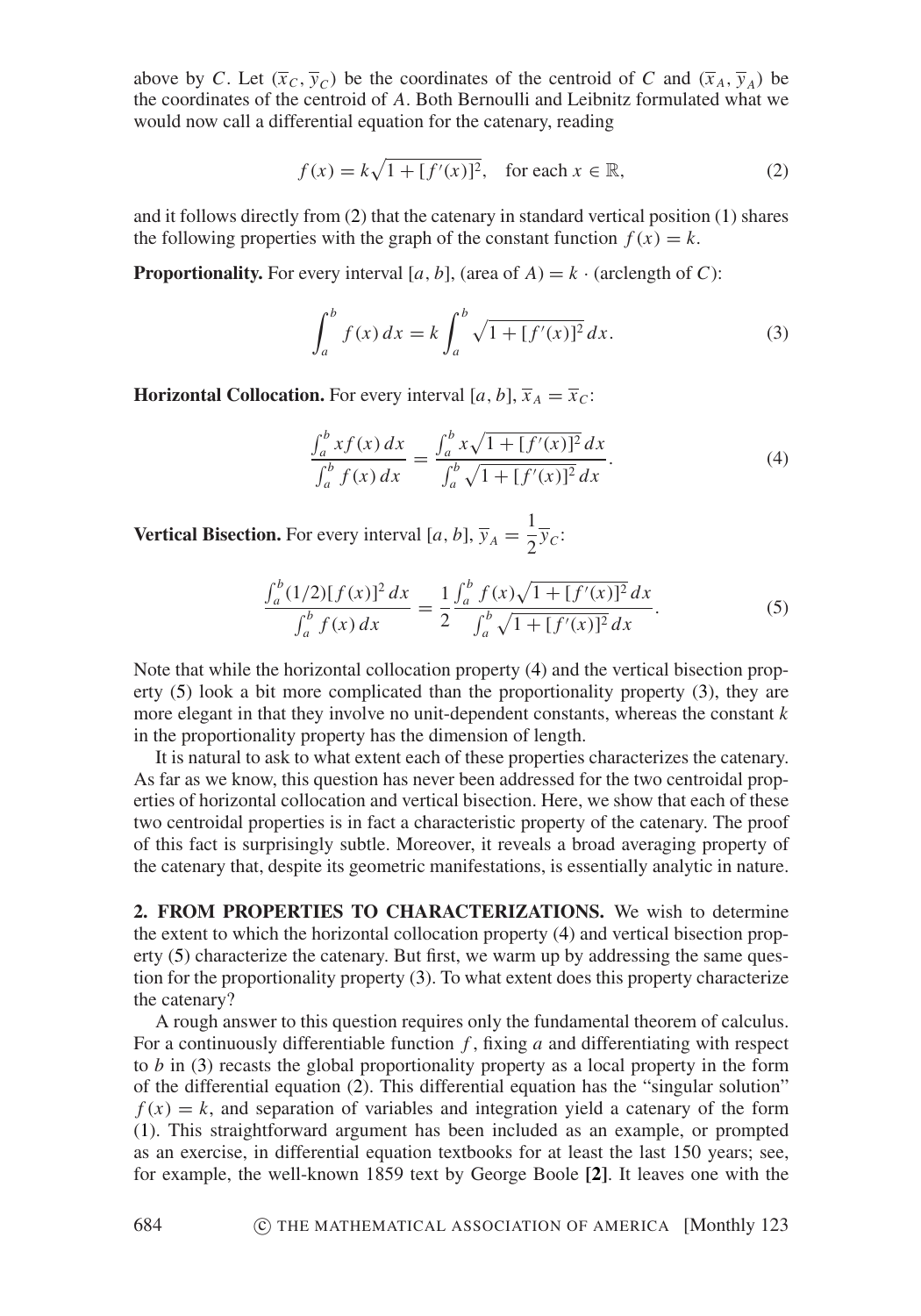above by *C*. Let  $(\overline{x}_c, \overline{y}_c)$  be the coordinates of the centroid of *C* and  $(\overline{x}_A, \overline{y}_A)$  be the coordinates of the centroid of *A*. Both Bernoulli and Leibnitz formulated what we would now call a differential equation for the catenary, reading

<span id="page-3-0"></span>
$$
f(x) = k\sqrt{1 + [f'(x)]^2}, \quad \text{for each } x \in \mathbb{R},
$$
 (2)

and it follows directly from [\(2\)](#page-3-0) that the catenary in standard vertical position [\(1\)](#page-2-2) shares the following properties with the graph of the constant function  $f(x) = k$ .

**Proportionality.** For every interval [*a*, *b*], (area of *A*) =  $k \cdot$  (arclength of *C*):

<span id="page-3-3"></span>
$$
\int_{a}^{b} f(x) dx = k \int_{a}^{b} \sqrt{1 + [f'(x)]^2} dx.
$$
 (3)

**Horizontal Collocation.** For every interval [a, b],  $\bar{x}_A = \bar{x}_C$ :

<span id="page-3-1"></span>
$$
\frac{\int_a^b x f(x) dx}{\int_a^b f(x) dx} = \frac{\int_a^b x \sqrt{1 + [f'(x)]^2} dx}{\int_a^b \sqrt{1 + [f'(x)]^2} dx}.
$$
\n(4)

**Vertical Bisection.** For every interval [*a*, *b*],  $\overline{y}_A = \frac{1}{2}\overline{y}_C$ :

<span id="page-3-2"></span>
$$
\frac{\int_a^b (1/2)[f(x)]^2 dx}{\int_a^b f(x) dx} = \frac{1}{2} \frac{\int_a^b f(x)\sqrt{1 + [f'(x)]^2} dx}{\int_a^b \sqrt{1 + [f'(x)]^2} dx}.
$$
(5)

Note that while the horizontal collocation property [\(4\)](#page-3-1) and the vertical bisection property [\(5\)](#page-3-2) look a bit more complicated than the proportionality property [\(3\)](#page-3-3), they are more elegant in that they involve no unit-dependent constants, whereas the constant *k* in the proportionality property has the dimension of length.

It is natural to ask to what extent each of these properties characterizes the catenary. As far as we know, this question has never been addressed for the two centroidal properties of horizontal collocation and vertical bisection. Here, we show that each of these two centroidal properties is in fact a characteristic property of the catenary. The proof of this fact is surprisingly subtle. Moreover, it reveals a broad averaging property of the catenary that, despite its geometric manifestations, is essentially analytic in nature.

**2. FROM PROPERTIES TO CHARACTERIZATIONS.** We wish to determine the extent to which the horizontal collocation property [\(4\)](#page-3-1) and vertical bisection property [\(5\)](#page-3-2) characterize the catenary. But first, we warm up by addressing the same question for the proportionality property [\(3\)](#page-3-3). To what extent does this property characterize the catenary?

A rough answer to this question requires only the fundamental theorem of calculus. For a continuously differentiable function *f* , fixing *a* and differentiating with respect to *b* in [\(3\)](#page-3-3) recasts the global proportionality property as a local property in the form of the differential equation [\(2\)](#page-3-0). This differential equation has the "singular solution"  $f(x) = k$ , and separation of variables and integration yield a catenary of the form [\(1\)](#page-2-2). This straightforward argument has been included as an example, or prompted as an exercise, in differential equation textbooks for at least the last 150 years; see, for example, the well-known 1859 text by George Boole **[\[2\]](#page-7-1)**. It leaves one with the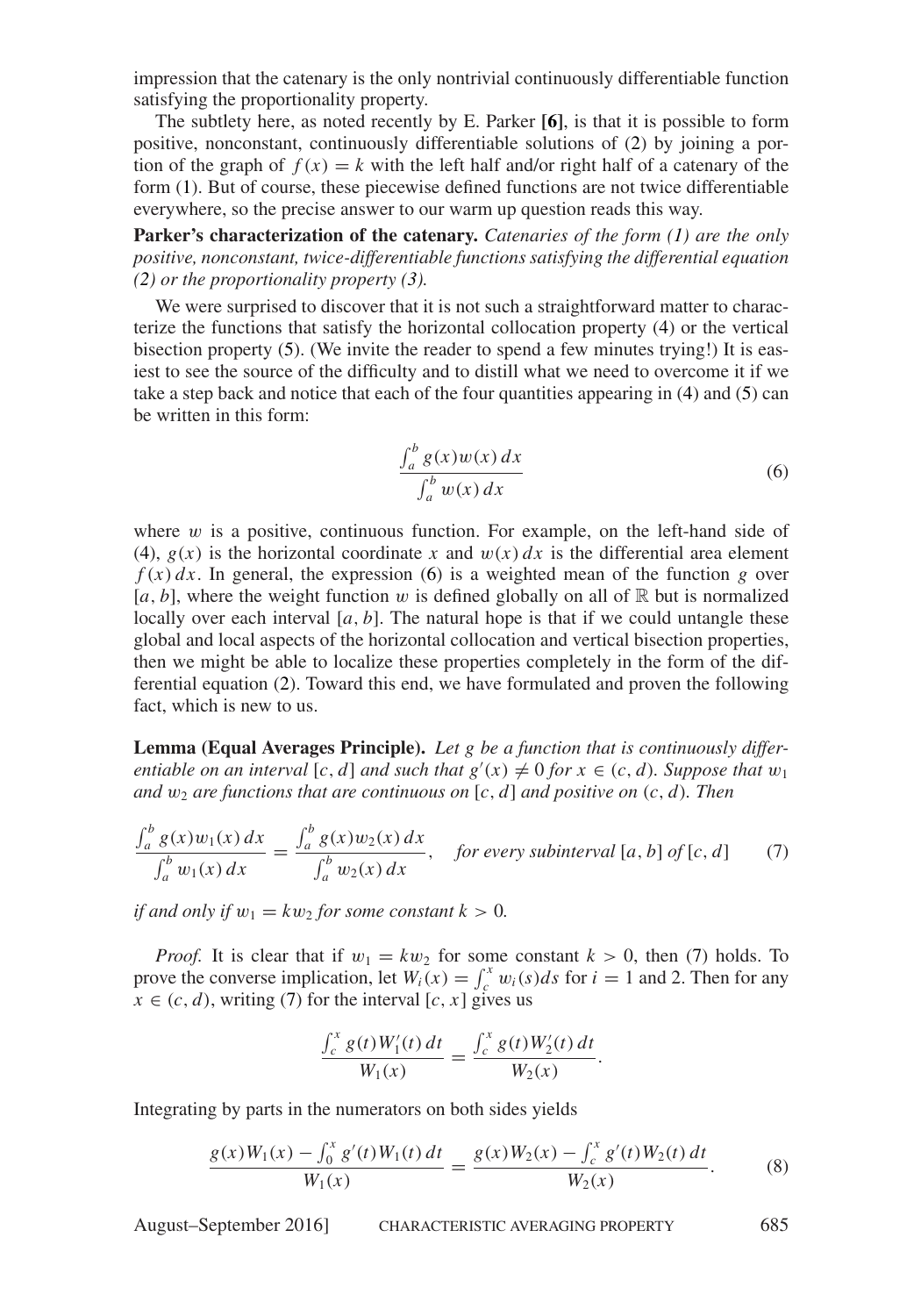impression that the catenary is the only nontrivial continuously differentiable function satisfying the proportionality property.

The subtlety here, as noted recently by E. Parker **[\[6\]](#page-7-2)**, is that it is possible to form positive, nonconstant, continuously differentiable solutions of [\(2\)](#page-3-0) by joining a portion of the graph of  $f(x) = k$  with the left half and/or right half of a catenary of the form [\(1\)](#page-2-2). But of course, these piecewise defined functions are not twice differentiable everywhere, so the precise answer to our warm up question reads this way.

**Parker's characterization of the catenary.** *Catenaries of the form [\(1\)](#page-2-2) are the only positive, nonconstant, twice-differentiable functions satisfying the differential equation [\(2\)](#page-3-0) or the proportionality property [\(3\)](#page-3-3).*

We were surprised to discover that it is not such a straightforward matter to characterize the functions that satisfy the horizontal collocation property [\(4\)](#page-3-1) or the vertical bisection property [\(5\)](#page-3-2). (We invite the reader to spend a few minutes trying!) It is easiest to see the source of the difficulty and to distill what we need to overcome it if we take a step back and notice that each of the four quantities appearing in [\(4\)](#page-3-1) and [\(5\)](#page-3-2) can be written in this form:

<span id="page-4-0"></span>
$$
\frac{\int_a^b g(x)w(x) dx}{\int_a^b w(x) dx}
$$
\n(6)

where  $w$  is a positive, continuous function. For example, on the left-hand side of [\(4\)](#page-3-1),  $g(x)$  is the horizontal coordinate x and  $w(x) dx$  is the differential area element  $f(x) dx$ . In general, the expression [\(6\)](#page-4-0) is a weighted mean of the function *g* over  $[a, b]$ , where the weight function w is defined globally on all of  $\mathbb R$  but is normalized locally over each interval  $[a, b]$ . The natural hope is that if we could untangle these global and local aspects of the horizontal collocation and vertical bisection properties, then we might be able to localize these properties completely in the form of the differential equation [\(2\)](#page-3-0). Toward this end, we have formulated and proven the following fact, which is new to us.

**Lemma (Equal Averages Principle).** *Let g be a function that is continuously differentiable on an interval* [*c*, *d*] *and such that*  $g'(x) \neq 0$  *for*  $x \in (c, d)$ *. Suppose that*  $w_1$ *and*  $w_2$  *are functions that are continuous on* [*c*, *d*] *and positive on* (*c*, *d*)*. Then* 

$$
\frac{\int_a^b g(x)w_1(x) dx}{\int_a^b w_1(x) dx} = \frac{\int_a^b g(x)w_2(x) dx}{\int_a^b w_2(x) dx}, \quad \text{for every subinterval } [a, b] \text{ of } [c, d] \tag{7}
$$

*if and only if*  $w_1 = kw_2$  *for some constant*  $k > 0$ *.* 

*Proof.* It is clear that if  $w_1 = kw_2$  for some constant  $k > 0$ , then [\(7\)](#page-4-1) holds. To prove the converse implication, let  $W_i(x) = \int_c^x w_i(s)ds$  for  $i = 1$  and 2. Then for any  $x \in (c, d)$ , writing [\(7\)](#page-4-1) for the interval  $[c, x]$  gives us

<span id="page-4-1"></span>
$$
\frac{\int_c^x g(t)W_1'(t) dt}{W_1(x)} = \frac{\int_c^x g(t)W_2'(t) dt}{W_2(x)}.
$$

Integrating by parts in the numerators on both sides yields

<span id="page-4-2"></span>
$$
\frac{g(x)W_1(x) - \int_0^x g'(t)W_1(t) dt}{W_1(x)} = \frac{g(x)W_2(x) - \int_c^x g'(t)W_2(t) dt}{W_2(x)}.
$$
 (8)

August–September 2016] CHARACTERISTIC AVERAGING PROPERTY 685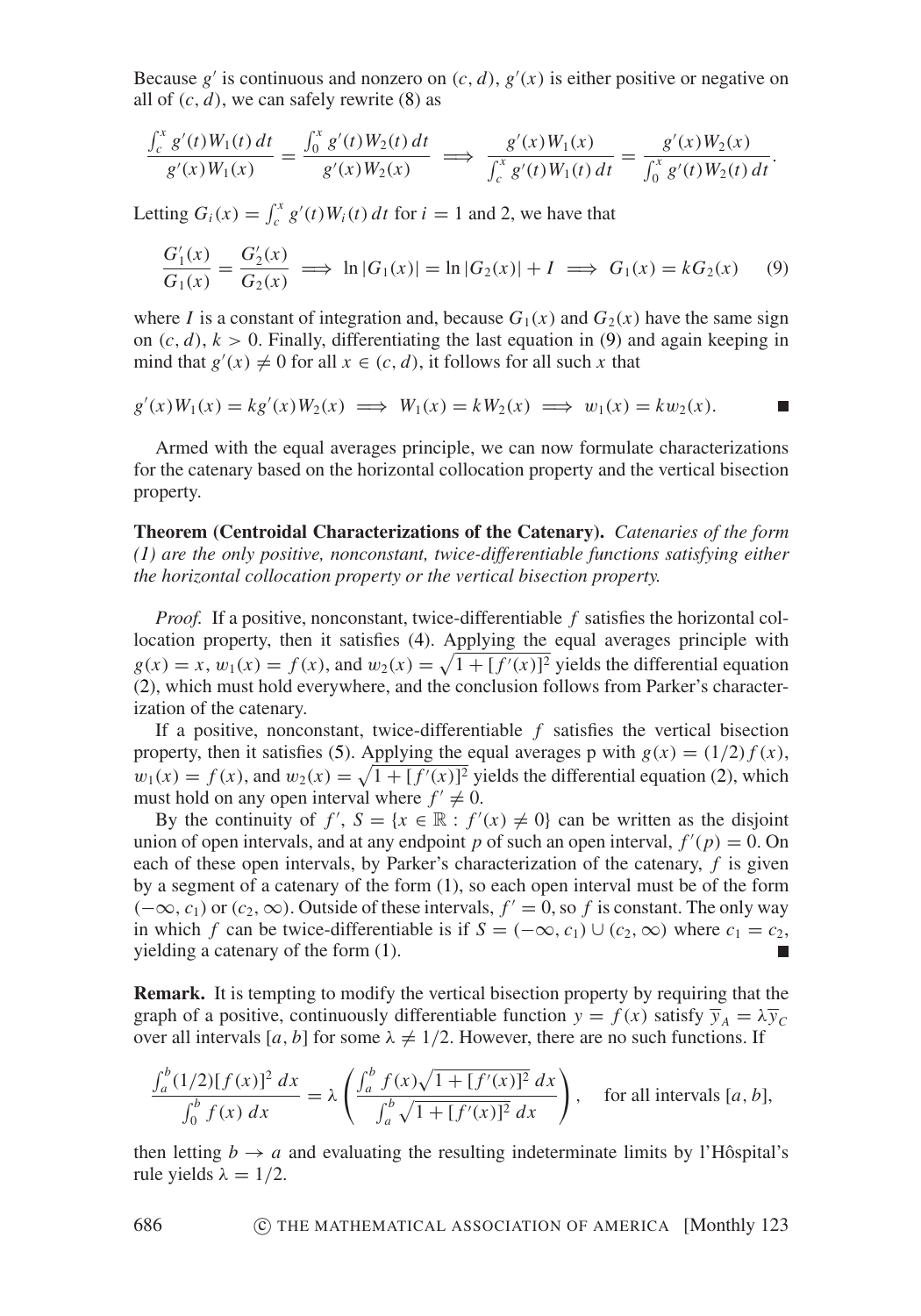Because  $g'$  is continuous and nonzero on  $(c, d)$ ,  $g'(x)$  is either positive or negative on all of  $(c, d)$ , we can safely rewrite  $(8)$  as

<span id="page-5-0"></span>
$$
\frac{\int_c^x g'(t)W_1(t) dt}{g'(x)W_1(x)} = \frac{\int_0^x g'(t)W_2(t) dt}{g'(x)W_2(x)} \implies \frac{g'(x)W_1(x)}{\int_c^x g'(t)W_1(t) dt} = \frac{g'(x)W_2(x)}{\int_0^x g'(t)W_2(t) dt}.
$$

Letting  $G_i(x) = \int_c^x g'(t)W_i(t) dt$  for  $i = 1$  and 2, we have that

$$
\frac{G_1'(x)}{G_1(x)} = \frac{G_2'(x)}{G_2(x)} \implies \ln|G_1(x)| = \ln|G_2(x)| + I \implies G_1(x) = kG_2(x) \tag{9}
$$

where *I* is a constant of integration and, because  $G_1(x)$  and  $G_2(x)$  have the same sign on  $(c, d)$ ,  $k > 0$ . Finally, differentiating the last equation in [\(9\)](#page-5-0) and again keeping in mind that  $g'(x) \neq 0$  for all  $x \in (c, d)$ , it follows for all such x that

$$
g'(x)W_1(x) = kg'(x)W_2(x) \implies W_1(x) = kW_2(x) \implies w_1(x) = kw_2(x).
$$

Armed with the equal averages principle, we can now formulate characterizations for the catenary based on the horizontal collocation property and the vertical bisection property.

**Theorem (Centroidal Characterizations of the Catenary).** *Catenaries of the form [\(1\)](#page-2-2) are the only positive, nonconstant, twice-differentiable functions satisfying either the horizontal collocation property or the vertical bisection property.*

*Proof.* If a positive, nonconstant, twice-differentiable *f* satisfies the horizontal collocation property, then it satisfies [\(4\)](#page-3-1). Applying the equal averages principle with  $g(x) = x$ ,  $w_1(x) = f(x)$ , and  $w_2(x) = \sqrt{1 + [f'(x)]^2}$  yields the differential equation [\(2\)](#page-3-0), which must hold everywhere, and the conclusion follows from Parker's characterization of the catenary.

If a positive, nonconstant, twice-differentiable *f* satisfies the vertical bisection property, then it satisfies [\(5\)](#page-3-2). Applying the equal averages p with  $g(x) = (1/2) f(x)$ ,  $w_1(x) = f(x)$ , and  $w_2(x) = \sqrt{1 + [f'(x)]^2}$  yields the differential equation [\(2\)](#page-3-0), which must hold on any open interval where  $f' \neq 0$ .

By the continuity of  $f'$ ,  $S = \{x \in \mathbb{R} : f'(x) \neq 0\}$  can be written as the disjoint union of open intervals, and at any endpoint *p* of such an open interval,  $f'(p) = 0$ . On each of these open intervals, by Parker's characterization of the catenary, *f* is given by a segment of a catenary of the form [\(1\)](#page-2-2), so each open interval must be of the form  $(-\infty, c_1)$  or  $(c_2, \infty)$ . Outside of these intervals,  $f' = 0$ , so f is constant. The only way in which *f* can be twice-differentiable is if  $S = (-\infty, c_1) \cup (c_2, \infty)$  where  $c_1 = c_2$ , yielding a catenary of the form [\(1\)](#page-2-2).  $\blacksquare$ 

**Remark.** It is tempting to modify the vertical bisection property by requiring that the graph of a positive, continuously differentiable function  $y = f(x)$  satisfy  $\overline{y}_A = \lambda \overline{y}_C$ over all intervals [a, b] for some  $\lambda \neq 1/2$ . However, there are no such functions. If

<span id="page-5-1"></span>
$$
\frac{\int_a^b (1/2)[f(x)]^2 dx}{\int_0^b f(x) dx} = \lambda \left( \frac{\int_a^b f(x)\sqrt{1 + [f'(x)]^2} dx}{\int_a^b \sqrt{1 + [f'(x)]^2} dx} \right), \text{ for all intervals } [a, b],
$$

then letting  $b \rightarrow a$  and evaluating the resulting indeterminate limits by l'Hôspital's rule yields  $\lambda = 1/2$ .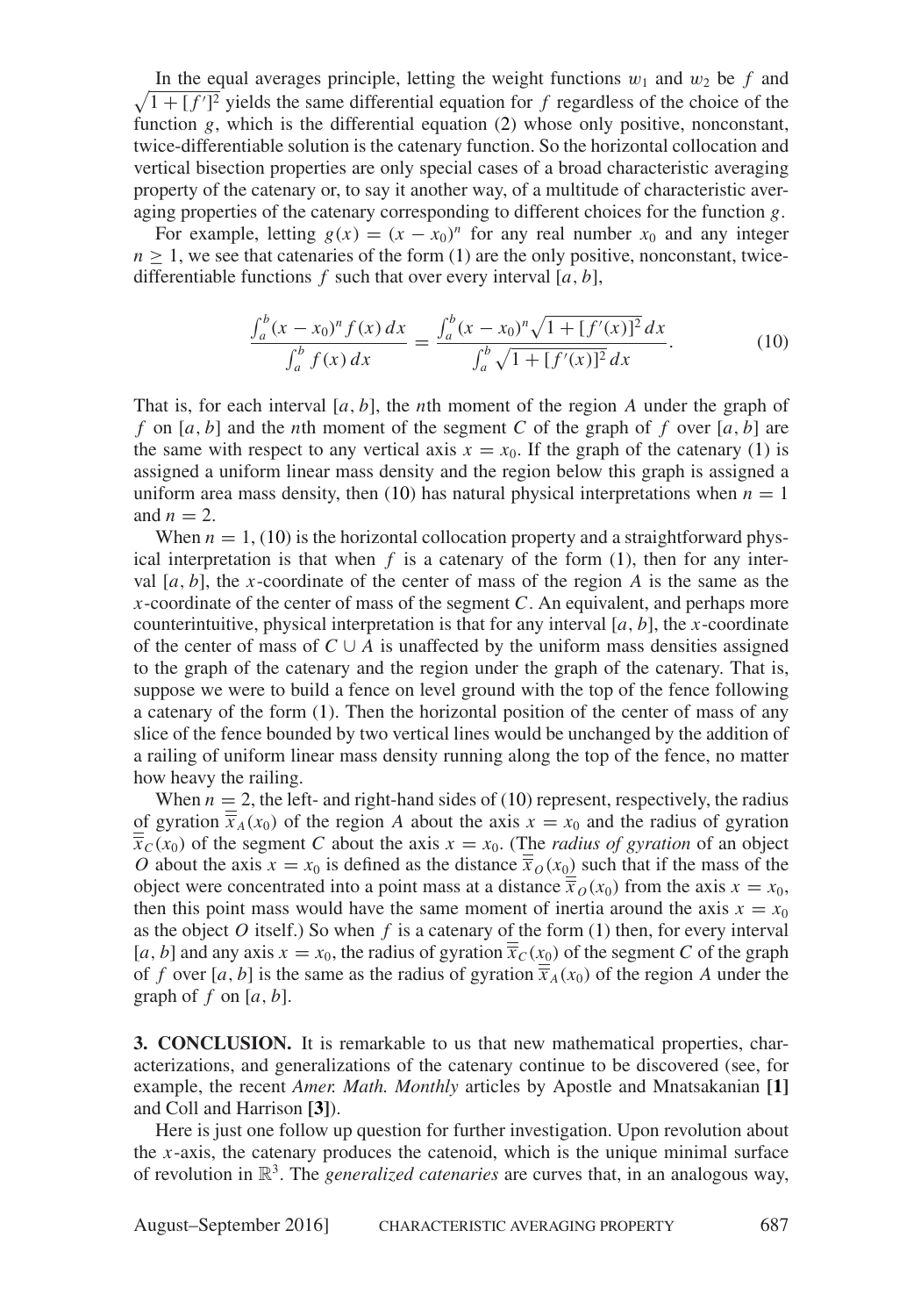$\sqrt{1 + [f']^2}$  yields the same differential equation for f regardless of the choice of the In the equal averages principle, letting the weight functions  $w_1$  and  $w_2$  be  $f$  and function *g*, which is the differential equation [\(2\)](#page-3-0) whose only positive, nonconstant, twice-differentiable solution is the catenary function. So the horizontal collocation and vertical bisection properties are only special cases of a broad characteristic averaging property of the catenary or, to say it another way, of a multitude of characteristic averaging properties of the catenary corresponding to different choices for the function *g*.

For example, letting  $g(x) = (x - x_0)^n$  for any real number  $x_0$  and any integer  $n \geq 1$ , we see that catenaries of the form [\(1\)](#page-2-2) are the only positive, nonconstant, twicedifferentiable functions  $f$  such that over every interval  $[a, b]$ ,

$$
\frac{\int_a^b (x - x_0)^n f(x) \, dx}{\int_a^b f(x) \, dx} = \frac{\int_a^b (x - x_0)^n \sqrt{1 + [f'(x)]^2} \, dx}{\int_a^b \sqrt{1 + [f'(x)]^2} \, dx}.\tag{10}
$$

That is, for each interval [*a*, *b*], the *n*th moment of the region *A* under the graph of *f* on [ $a$ ,  $b$ ] and the *n*th moment of the segment C of the graph of  $f$  over [ $a$ ,  $b$ ] are the same with respect to any vertical axis  $x = x_0$ . If the graph of the catenary [\(1\)](#page-2-2) is assigned a uniform linear mass density and the region below this graph is assigned a uniform area mass density, then [\(10\)](#page-5-1) has natural physical interpretations when  $n = 1$ and  $n = 2$ .

When  $n = 1$ , [\(10\)](#page-5-1) is the horizontal collocation property and a straightforward physical interpretation is that when  $f$  is a catenary of the form  $(1)$ , then for any interval  $[a, b]$ , the *x*-coordinate of the center of mass of the region *A* is the same as the *x*-coordinate of the center of mass of the segment *C*. An equivalent, and perhaps more counterintuitive, physical interpretation is that for any interval  $[a, b]$ , the *x*-coordinate of the center of mass of  $C \cup A$  is unaffected by the uniform mass densities assigned to the graph of the catenary and the region under the graph of the catenary. That is, suppose we were to build a fence on level ground with the top of the fence following a catenary of the form [\(1\)](#page-2-2). Then the horizontal position of the center of mass of any slice of the fence bounded by two vertical lines would be unchanged by the addition of a railing of uniform linear mass density running along the top of the fence, no matter how heavy the railing.

When  $n = 2$ , the left- and right-hand sides of [\(10\)](#page-5-1) represent, respectively, the radius of gyration  $\overline{\overline{x}}_A(x_0)$  of the region *A* about the axis  $x = x_0$  and the radius of gyration  $\overline{x}_c(x_0)$  of the segment *C* about the axis  $x = x_0$ . (The *radius of gyration* of an object *O* about the axis  $x = x_0$  is defined as the distance  $\overline{x}_0(x_0)$  such that if the mass of the object were concentrated into a point mass at a distance  $\overline{x}_0(x_0)$  from the axis  $x = x_0$ , then this point mass would have the same moment of inertia around the axis  $x = x_0$ as the object  $O$  itself.) So when  $f$  is a catenary of the form  $(1)$  then, for every interval [*a*, *b*] and any axis  $x = x_0$ , the radius of gyration  $\overline{x}_C(x_0)$  of the segment *C* of the graph of *f* over [*a*, *b*] is the same as the radius of gyration  $\overline{\overline{x}}_A(x_0)$  of the region *A* under the graph of  $f$  on  $[a, b]$ .

**3. CONCLUSION.** It is remarkable to us that new mathematical properties, characterizations, and generalizations of the catenary continue to be discovered (see, for example, the recent *Amer. Math. Monthly* articles by Apostle and Mnatsakanian **[\[1\]](#page-7-3)** and Coll and Harrison **[\[3\]](#page-7-4)**).

Here is just one follow up question for further investigation. Upon revolution about the *x*-axis, the catenary produces the catenoid, which is the unique minimal surface of revolution in  $\mathbb{R}^3$ . The *generalized catenaries* are curves that, in an analogous way,